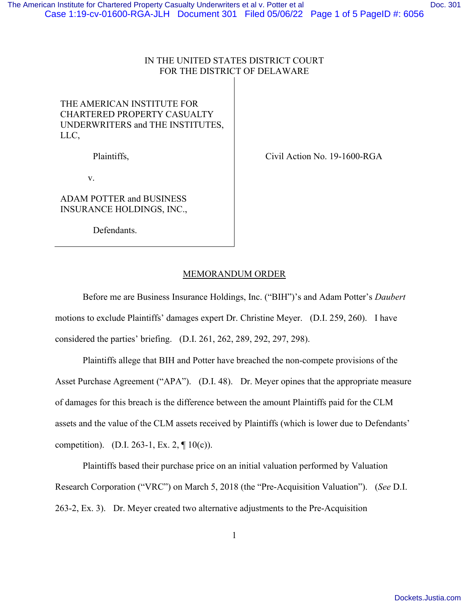## IN THE UNITED STATES DISTRICT COURT FOR THE DISTRICT OF DELAWARE

## THE AMERICAN INSTITUTE FOR CHARTERED PROPERTY CASUALTY UNDERWRITERS and THE INSTITUTES, LLC,

Plaintiffs,

v.

ADAM POTTER and BUSINESS INSURANCE HOLDINGS, INC.,

Defendants.

Civil Action No. 19-1600-RGA

## MEMORANDUM ORDER

Before me are Business Insurance Holdings, Inc. ("BIH")'s and Adam Potter's *Daubert* motions to exclude Plaintiffs' damages expert Dr. Christine Meyer. (D.I. 259, 260). I have considered the parties' briefing. (D.I. 261, 262, 289, 292, 297, 298).

Plaintiffs allege that BIH and Potter have breached the non-compete provisions of the Asset Purchase Agreement ("APA"). (D.I. 48). Dr. Meyer opines that the appropriate measure of damages for this breach is the difference between the amount Plaintiffs paid for the CLM assets and the value of the CLM assets received by Plaintiffs (which is lower due to Defendants' competition). (D.I. 263-1, Ex. 2,  $\P$  10(c)).

Plaintiffs based their purchase price on an initial valuation performed by Valuation Research Corporation ("VRC") on March 5, 2018 (the "Pre-Acquisition Valuation"). (*See* D.I. 263-2, Ex. 3). Dr. Meyer created two alternative adjustments to the Pre-Acquisition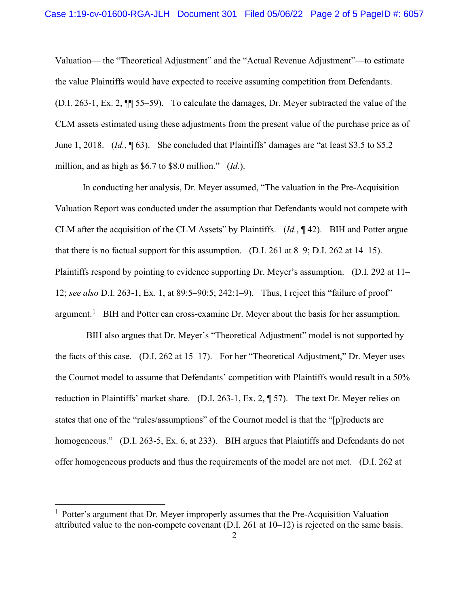Valuation— the "Theoretical Adjustment" and the "Actual Revenue Adjustment"—to estimate the value Plaintiffs would have expected to receive assuming competition from Defendants. (D.I. 263-1, Ex. 2, ¶¶ 55–59). To calculate the damages, Dr. Meyer subtracted the value of the CLM assets estimated using these adjustments from the present value of the purchase price as of June 1, 2018. (*Id.*, ¶ 63). She concluded that Plaintiffs' damages are "at least \$3.5 to \$5.2 million, and as high as \$6.7 to \$8.0 million." (*Id.*).

In conducting her analysis, Dr. Meyer assumed, "The valuation in the Pre-Acquisition Valuation Report was conducted under the assumption that Defendants would not compete with CLM after the acquisition of the CLM Assets" by Plaintiffs. (*Id.*, ¶ 42). BIH and Potter argue that there is no factual support for this assumption. (D.I. 261 at 8–9; D.I. 262 at 14–15). Plaintiffs respond by pointing to evidence supporting Dr. Meyer's assumption. (D.I. 292 at 11– 12; *see also* D.I. 263-1, Ex. 1, at 89:5–90:5; 242:1–9). Thus, I reject this "failure of proof" argument.<sup>[1](#page-1-0)</sup> BIH and Potter can cross-examine Dr. Meyer about the basis for her assumption.

 BIH also argues that Dr. Meyer's "Theoretical Adjustment" model is not supported by the facts of this case. (D.I. 262 at 15–17). For her "Theoretical Adjustment," Dr. Meyer uses the Cournot model to assume that Defendants' competition with Plaintiffs would result in a 50% reduction in Plaintiffs' market share. (D.I. 263-1, Ex. 2, ¶ 57). The text Dr. Meyer relies on states that one of the "rules/assumptions" of the Cournot model is that the "[p]roducts are homogeneous." (D.I. 263-5, Ex. 6, at 233). BIH argues that Plaintiffs and Defendants do not offer homogeneous products and thus the requirements of the model are not met. (D.I. 262 at

<span id="page-1-0"></span><sup>&</sup>lt;sup>1</sup> Potter's argument that Dr. Meyer improperly assumes that the Pre-Acquisition Valuation attributed value to the non-compete covenant (D.I. 261 at 10–12) is rejected on the same basis.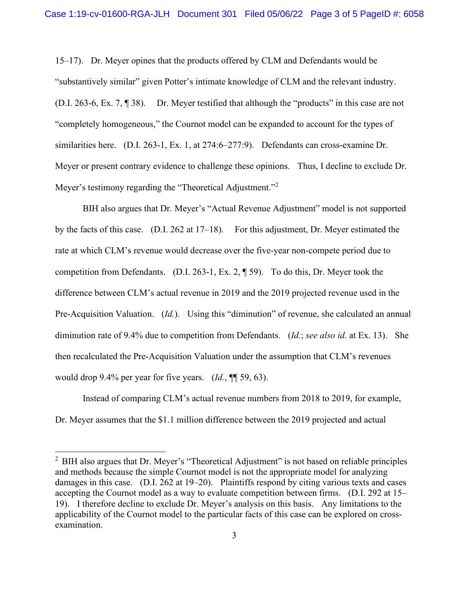15–17). Dr. Meyer opines that the products offered by CLM and Defendants would be "substantively similar" given Potter's intimate knowledge of CLM and the relevant industry. (D.I. 263-6, Ex. 7, ¶ 38). Dr. Meyer testified that although the "products" in this case are not "completely homogeneous," the Cournot model can be expanded to account for the types of similarities here. (D.I. 263-1, Ex. 1, at 274:6–277:9). Defendants can cross-examine Dr. Meyer or present contrary evidence to challenge these opinions. Thus, I decline to exclude Dr. Meyer's testimony regarding the "Theoretical Adjustment."<sup>[2](#page-2-0)</sup>

BIH also argues that Dr. Meyer's "Actual Revenue Adjustment" model is not supported by the facts of this case. (D.I. 262 at 17–18). For this adjustment, Dr. Meyer estimated the rate at which CLM's revenue would decrease over the five-year non-compete period due to competition from Defendants. (D.I. 263-1, Ex. 2, ¶ 59). To do this, Dr. Meyer took the difference between CLM's actual revenue in 2019 and the 2019 projected revenue used in the Pre-Acquisition Valuation. (*Id.*). Using this "diminution" of revenue, she calculated an annual diminution rate of 9.4% due to competition from Defendants. (*Id.*; *see also id.* at Ex. 13). She then recalculated the Pre-Acquisition Valuation under the assumption that CLM's revenues would drop 9.4% per year for five years. (*Id.*, ¶¶ 59, 63).

Instead of comparing CLM's actual revenue numbers from 2018 to 2019, for example, Dr. Meyer assumes that the \$1.1 million difference between the 2019 projected and actual

<span id="page-2-0"></span> $2$  BIH also argues that Dr. Meyer's "Theoretical Adjustment" is not based on reliable principles and methods because the simple Cournot model is not the appropriate model for analyzing damages in this case. (D.I. 262 at 19–20). Plaintiffs respond by citing various texts and cases accepting the Cournot model as a way to evaluate competition between firms. (D.I. 292 at 15– 19). I therefore decline to exclude Dr. Meyer's analysis on this basis. Any limitations to the applicability of the Cournot model to the particular facts of this case can be explored on crossexamination.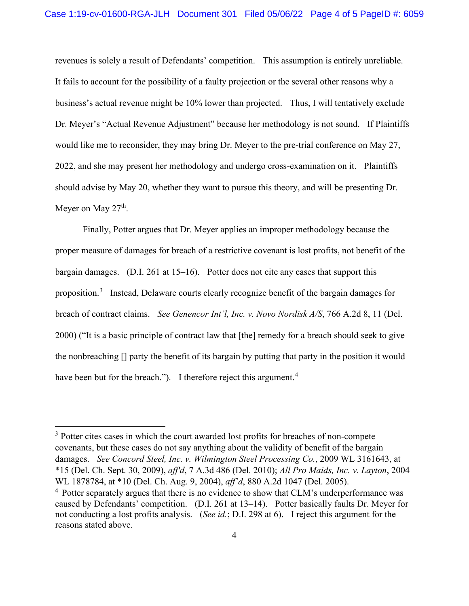revenues is solely a result of Defendants' competition. This assumption is entirely unreliable. It fails to account for the possibility of a faulty projection or the several other reasons why a business's actual revenue might be 10% lower than projected. Thus, I will tentatively exclude Dr. Meyer's "Actual Revenue Adjustment" because her methodology is not sound. If Plaintiffs would like me to reconsider, they may bring Dr. Meyer to the pre-trial conference on May 27, 2022, and she may present her methodology and undergo cross-examination on it. Plaintiffs should advise by May 20, whether they want to pursue this theory, and will be presenting Dr. Meyer on May 27<sup>th</sup>.

Finally, Potter argues that Dr. Meyer applies an improper methodology because the proper measure of damages for breach of a restrictive covenant is lost profits, not benefit of the bargain damages. (D.I. 261 at 15–16). Potter does not cite any cases that support this proposition.<sup>[3](#page-3-0)</sup> Instead, Delaware courts clearly recognize benefit of the bargain damages for breach of contract claims. *See Genencor Int'l, Inc. v. Novo Nordisk A/S*, 766 A.2d 8, 11 (Del. 2000) ("It is a basic principle of contract law that [the] remedy for a breach should seek to give the nonbreaching [] party the benefit of its bargain by putting that party in the position it would have been but for the breach."). I therefore reject this argument.<sup>[4](#page-3-1)</sup>

<span id="page-3-0"></span><sup>&</sup>lt;sup>3</sup> Potter cites cases in which the court awarded lost profits for breaches of non-compete covenants, but these cases do not say anything about the validity of benefit of the bargain damages. *See Concord Steel, Inc. v. Wilmington Steel Processing Co.*, 2009 WL 3161643, at \*15 (Del. Ch. Sept. 30, 2009), *aff'd*, 7 A.3d 486 (Del. 2010); *All Pro Maids, Inc. v. Layton*, 2004 WL 1878784, at \*10 (Del. Ch. Aug. 9, 2004), *aff'd*, 880 A.2d 1047 (Del. 2005).

<span id="page-3-1"></span><sup>&</sup>lt;sup>4</sup> Potter separately argues that there is no evidence to show that CLM's underperformance was caused by Defendants' competition. (D.I. 261 at 13–14). Potter basically faults Dr. Meyer for not conducting a lost profits analysis. (*See id.*; D.I. 298 at 6). I reject this argument for the reasons stated above.